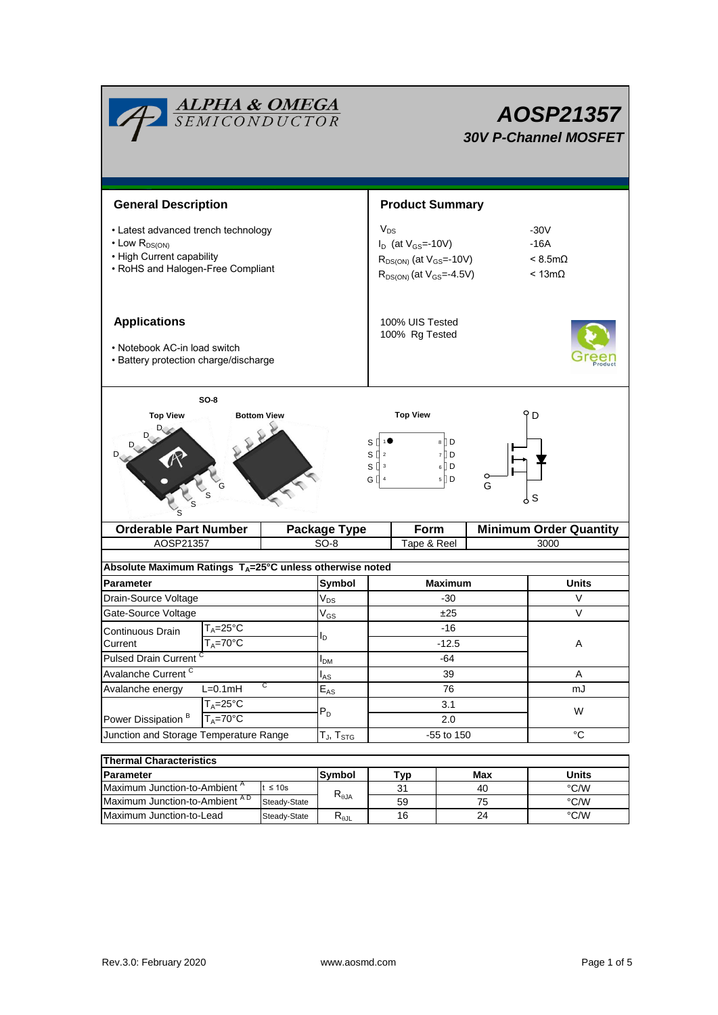| <b>Product Summary</b><br><b>General Description</b><br>$V_{DS}$<br>-30V<br>• Latest advanced trench technology<br>$\cdot$ Low $R_{DS(ON)}$<br>$-16A$<br>$I_D$ (at $V_{GS}$ =-10V)<br>• High Current capability<br>$R_{DS(ON)}$ (at $V_{GS}$ =-10V)<br>$< 8.5m\Omega$<br>• RoHS and Halogen-Free Compliant<br>$R_{DS(ON)}$ (at $V_{GS} = -4.5V$ )<br>$< 13m\Omega$<br><b>Applications</b><br>100% UIS Tested<br>100% Rg Tested<br>• Notebook AC-in load switch<br>• Battery protection charge/discharge |  |  |  |  |  |  |  |
|---------------------------------------------------------------------------------------------------------------------------------------------------------------------------------------------------------------------------------------------------------------------------------------------------------------------------------------------------------------------------------------------------------------------------------------------------------------------------------------------------------|--|--|--|--|--|--|--|
|                                                                                                                                                                                                                                                                                                                                                                                                                                                                                                         |  |  |  |  |  |  |  |
|                                                                                                                                                                                                                                                                                                                                                                                                                                                                                                         |  |  |  |  |  |  |  |
|                                                                                                                                                                                                                                                                                                                                                                                                                                                                                                         |  |  |  |  |  |  |  |
| $SO-8$<br><b>Top View</b><br><b>Top View</b><br>D<br><b>Bottom View</b><br>$8 \nparallel D$<br>s l<br>$S \parallel$ <sup>2</sup><br>7 D<br>$S^{\prod 3}$<br>$6 \bigcup D$<br>G [] 4<br>$5$ D<br>G<br>ှ ၁                                                                                                                                                                                                                                                                                                |  |  |  |  |  |  |  |
| <b>Orderable Part Number</b><br><b>Minimum Order Quantity</b><br>Form<br><b>Package Type</b>                                                                                                                                                                                                                                                                                                                                                                                                            |  |  |  |  |  |  |  |
| AOSP21357<br>$SO-8$<br>Tape & Reel<br>3000                                                                                                                                                                                                                                                                                                                                                                                                                                                              |  |  |  |  |  |  |  |
| Absolute Maximum Ratings $T_A = 25^\circ \text{C}$ unless otherwise noted                                                                                                                                                                                                                                                                                                                                                                                                                               |  |  |  |  |  |  |  |
| Symbol<br><b>Maximum</b><br><b>Units</b><br><b>Parameter</b>                                                                                                                                                                                                                                                                                                                                                                                                                                            |  |  |  |  |  |  |  |
| $\rm V_{DS}$<br>Drain-Source Voltage<br>V<br>$-30$                                                                                                                                                                                                                                                                                                                                                                                                                                                      |  |  |  |  |  |  |  |
| $\vee$<br>Gate-Source Voltage<br>±25<br>$\mathsf{V}_{\mathsf{GS}}$                                                                                                                                                                                                                                                                                                                                                                                                                                      |  |  |  |  |  |  |  |
| $T_A = 25$ °C<br>$-16$<br>Continuous Drain                                                                                                                                                                                                                                                                                                                                                                                                                                                              |  |  |  |  |  |  |  |
| I <sub>D</sub><br>$T_A = 70^\circ C$<br>$-12.5$<br>Α<br>Current                                                                                                                                                                                                                                                                                                                                                                                                                                         |  |  |  |  |  |  |  |
| Pulsed Drain Current <sup>C</sup><br>$-64$<br>I <sub>DM</sub>                                                                                                                                                                                                                                                                                                                                                                                                                                           |  |  |  |  |  |  |  |
| Avalanche Current <sup>C</sup><br>39<br>A<br>l <sub>AS</sub>                                                                                                                                                                                                                                                                                                                                                                                                                                            |  |  |  |  |  |  |  |
| С<br>Avalanche energy<br>$L=0.1mH$<br>76<br>mJ<br>$E_{AS}$                                                                                                                                                                                                                                                                                                                                                                                                                                              |  |  |  |  |  |  |  |
| $T_A = 25$ °C<br>3.1                                                                                                                                                                                                                                                                                                                                                                                                                                                                                    |  |  |  |  |  |  |  |
| $P_D$<br>W<br>Power Dissipation <sup>B</sup><br>$T_A = 70^\circ C$<br>2.0                                                                                                                                                                                                                                                                                                                                                                                                                               |  |  |  |  |  |  |  |
| $^{\circ}C$<br>Junction and Storage Temperature Range<br>-55 to 150<br>$T_{\sf J}, T_{\sf STG}$                                                                                                                                                                                                                                                                                                                                                                                                         |  |  |  |  |  |  |  |
|                                                                                                                                                                                                                                                                                                                                                                                                                                                                                                         |  |  |  |  |  |  |  |
|                                                                                                                                                                                                                                                                                                                                                                                                                                                                                                         |  |  |  |  |  |  |  |
| <b>Thermal Characteristics</b>                                                                                                                                                                                                                                                                                                                                                                                                                                                                          |  |  |  |  |  |  |  |
| Symbol<br>Max<br><b>Units</b><br>Parameter<br><b>Typ</b>                                                                                                                                                                                                                                                                                                                                                                                                                                                |  |  |  |  |  |  |  |
| Maximum Junction-to-Ambient A<br>$t \leq 10s$<br>$\degree$ C/W<br>40<br>31<br>$\mathsf{R}_{\theta\mathsf{JA}}$<br>Maximum Junction-to-Ambient AD<br>Steady-State<br>$\degree$ C/W<br>59<br>75                                                                                                                                                                                                                                                                                                           |  |  |  |  |  |  |  |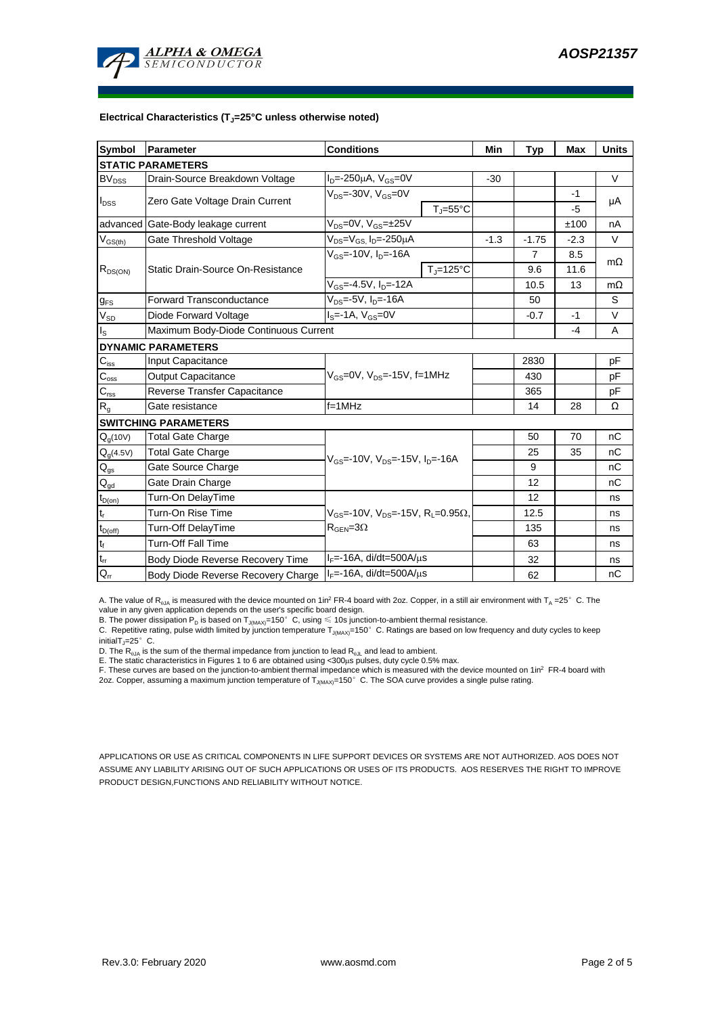

#### **Electrical Characteristics (TJ=25°C unless otherwise noted)**

| <b>Symbol</b>               | Parameter                             | <b>Conditions</b>                                               | Min    | <b>Typ</b>     | Max    | <b>Units</b> |  |
|-----------------------------|---------------------------------------|-----------------------------------------------------------------|--------|----------------|--------|--------------|--|
| <b>STATIC PARAMETERS</b>    |                                       |                                                                 |        |                |        |              |  |
| BV <sub>DSS</sub>           | Drain-Source Breakdown Voltage        | $I_{D} = -250 \mu A$ , $V_{GS} = 0V$                            | $-30$  |                |        | $\vee$       |  |
| $I_{DSS}$                   | Zero Gate Voltage Drain Current       | $V_{DS}$ =-30V, $V_{GS}$ =0V                                    |        |                | $-1$   |              |  |
|                             |                                       | $T_{\rm J}$ =55°C                                               |        |                | -5     | μA           |  |
|                             | advanced Gate-Body leakage current    | $V_{DS} = 0V$ , $V_{GS} = \pm 25V$                              |        |                | ±100   | nA           |  |
| $V_{GS(th)}$                | Gate Threshold Voltage                | V <sub>DS</sub> =V <sub>GS.</sub> I <sub>D</sub> =-250µA        | $-1.3$ | $-1.75$        | $-2.3$ | V            |  |
| $R_{DS(ON)}$                | Static Drain-Source On-Resistance     | $V_{GS}$ =-10V, $I_{D}$ =-16A                                   |        | $\overline{7}$ | 8.5    | $m\Omega$    |  |
|                             |                                       | $T_{\rm J}$ =125°C                                              |        | 9.6            | 11.6   |              |  |
|                             |                                       | $V_{GS} = -4.5V$ , $I_{D} = -12A$                               |        | 10.5           | 13     | $m\Omega$    |  |
| $g_{FS}$                    | <b>Forward Transconductance</b>       | $V_{DS} = -5V$ , $I_{D} = -16A$                                 |        | 50             |        | S            |  |
| $V_{SD}$                    | Diode Forward Voltage                 | $I_S = -1A$ , $V_{GS} = 0V$                                     |        | $-0.7$         | $-1$   | V            |  |
| $\mathsf{I}_\mathsf{S}$     | Maximum Body-Diode Continuous Current |                                                                 |        |                | -4     | A            |  |
|                             | <b>DYNAMIC PARAMETERS</b>             |                                                                 |        |                |        |              |  |
| $\mathbf{C}_{\mathsf{iss}}$ | Input Capacitance                     |                                                                 |        | 2830           |        | рF           |  |
| $C_{\rm oss}$               | <b>Output Capacitance</b>             | $V_{GS}$ =0V, $V_{DS}$ =-15V, f=1MHz                            |        | 430            |        | рF           |  |
| $\overline{C_{\rm rss}}$    | Reverse Transfer Capacitance          |                                                                 |        | 365            |        | рF           |  |
| R <sub>g</sub>              | Gate resistance                       | $f = 1$ MHz                                                     |        | 14             | 28     | Ω            |  |
|                             | <b>SWITCHING PARAMETERS</b>           |                                                                 |        |                |        |              |  |
| $Q_q(10V)$                  | <b>Total Gate Charge</b>              |                                                                 |        | 50             | 70     | nC           |  |
| $Q_g(4.5V)$                 | <b>Total Gate Charge</b>              | $V_{GS}$ =-10V, $V_{DS}$ =-15V, $I_{D}$ =-16A                   |        | 25             | 35     | nC           |  |
| $\mathsf{Q}_{\text{gs}}$    | Gate Source Charge                    |                                                                 |        | 9              |        | nC           |  |
| $\mathsf{Q}_{\mathsf{gd}}$  | Gate Drain Charge                     |                                                                 |        | 12             |        | пC           |  |
| $t_{D(0n)}$                 | Turn-On DelayTime                     |                                                                 |        | 12             |        | ns           |  |
| $t_r$                       | Turn-On Rise Time                     | $V_{GS}$ =-10V, $V_{DS}$ =-15V, R <sub>1</sub> =0.95 $\Omega$ , |        | 12.5           |        | ns           |  |
| $t_{D(off)}$                | Turn-Off DelayTime                    | $R_{\text{GEN}} = 3\Omega$                                      |        | 135            |        | ns           |  |
| $\mathsf{t}_{\mathsf{f}}$   | Turn-Off Fall Time                    |                                                                 |        | 63             |        | ns           |  |
| $\mathfrak{t}_{\text{rr}}$  | Body Diode Reverse Recovery Time      | $I_F$ =-16A, di/dt=500A/ $\mu$ s                                |        | 32             |        | ns           |  |
| $Q_{rr}$                    | Body Diode Reverse Recovery Charge    | $I_F$ =-16A, di/dt=500A/ $\mu$ s                                |        | 62             |        | nC           |  |

A. The value of  $R_{qJA}$  is measured with the device mounted on 1in<sup>2</sup> FR-4 board with 2oz. Copper, in a still air environment with T<sub>A</sub> =25° C. The value in any given application depends on the user's specific board design.

B. The power dissipation  ${\sf P}_{\sf D}$  is based on  ${\sf T}_{\sf J(MAX)}$ =150 $^\circ\,$  C, using  $\leqslant$  10s junction-to-ambient thermal resistance.

C. Repetitive rating, pulse width limited by junction temperature T $_{\rm J(MAX)}$ =150°C. Ratings are based on low frequency and duty cycles to keep

initialT $j=25^\circ$  C.

D. The R<sub>0JA</sub> is the sum of the thermal impedance from junction to lead R<sub>0JL</sub> and lead to ambient.<br>E. The static characteristics in Figures 1 to 6 are obtained using <300µs pulses, duty cycle 0.5% max.<br>F. These curves are

APPLICATIONS OR USE AS CRITICAL COMPONENTS IN LIFE SUPPORT DEVICES OR SYSTEMS ARE NOT AUTHORIZED. AOS DOES NOT ASSUME ANY LIABILITY ARISING OUT OF SUCH APPLICATIONS OR USES OF ITS PRODUCTS. AOS RESERVES THE RIGHT TO IMPROVE PRODUCT DESIGN,FUNCTIONS AND RELIABILITY WITHOUT NOTICE.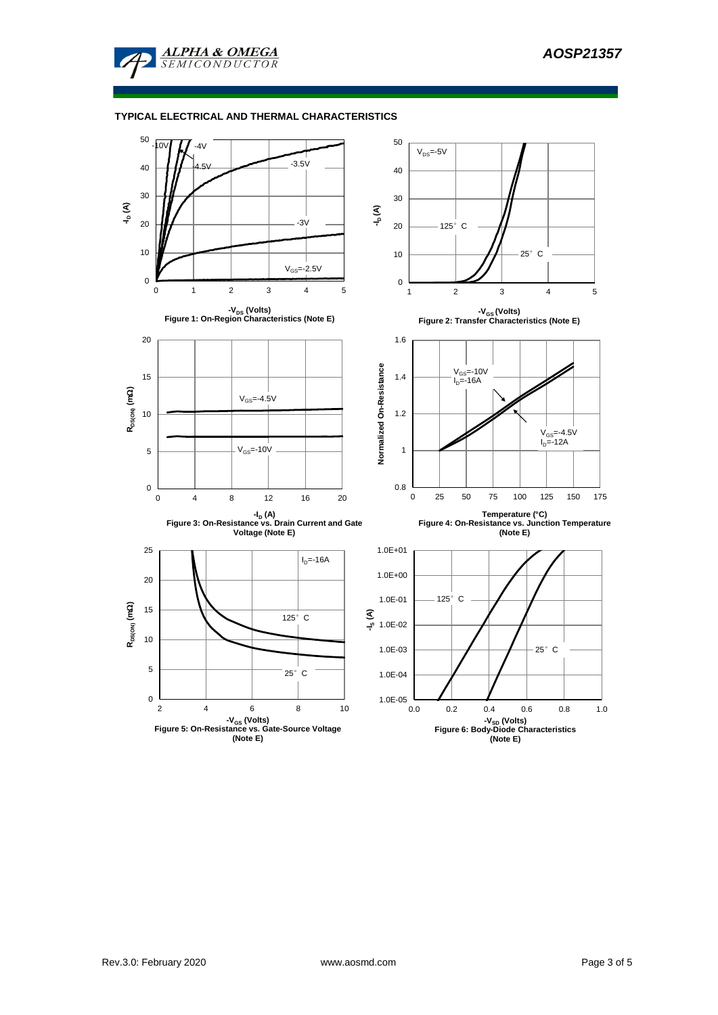

### **TYPICAL ELECTRICAL AND THERMAL CHARACTERISTICS**

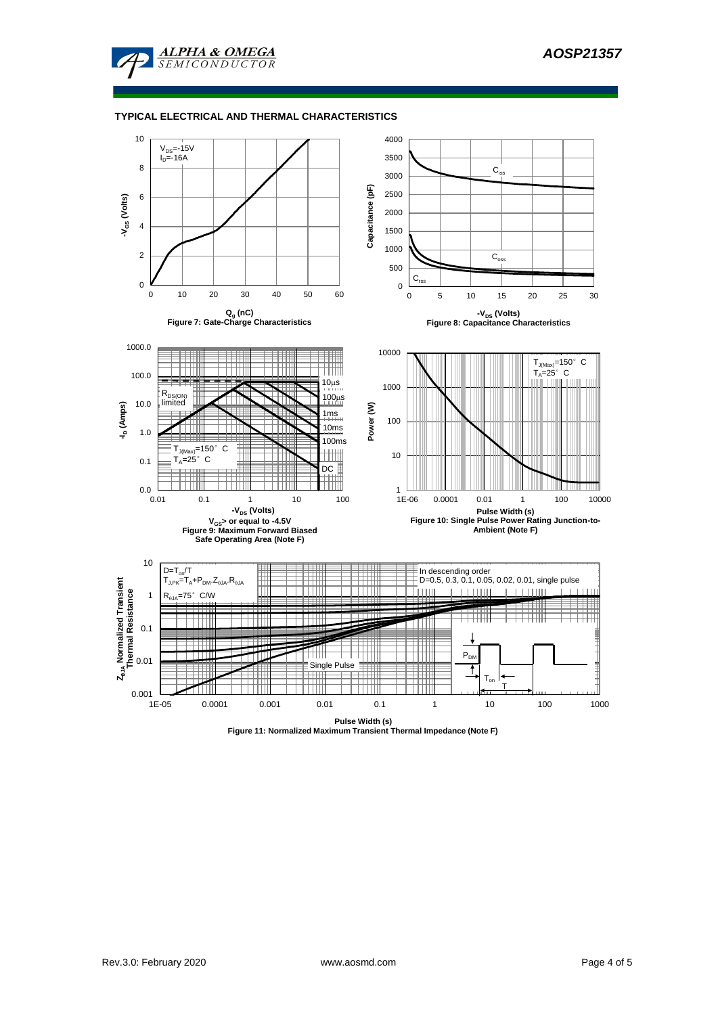

### **TYPICAL ELECTRICAL AND THERMAL CHARACTERISTICS**